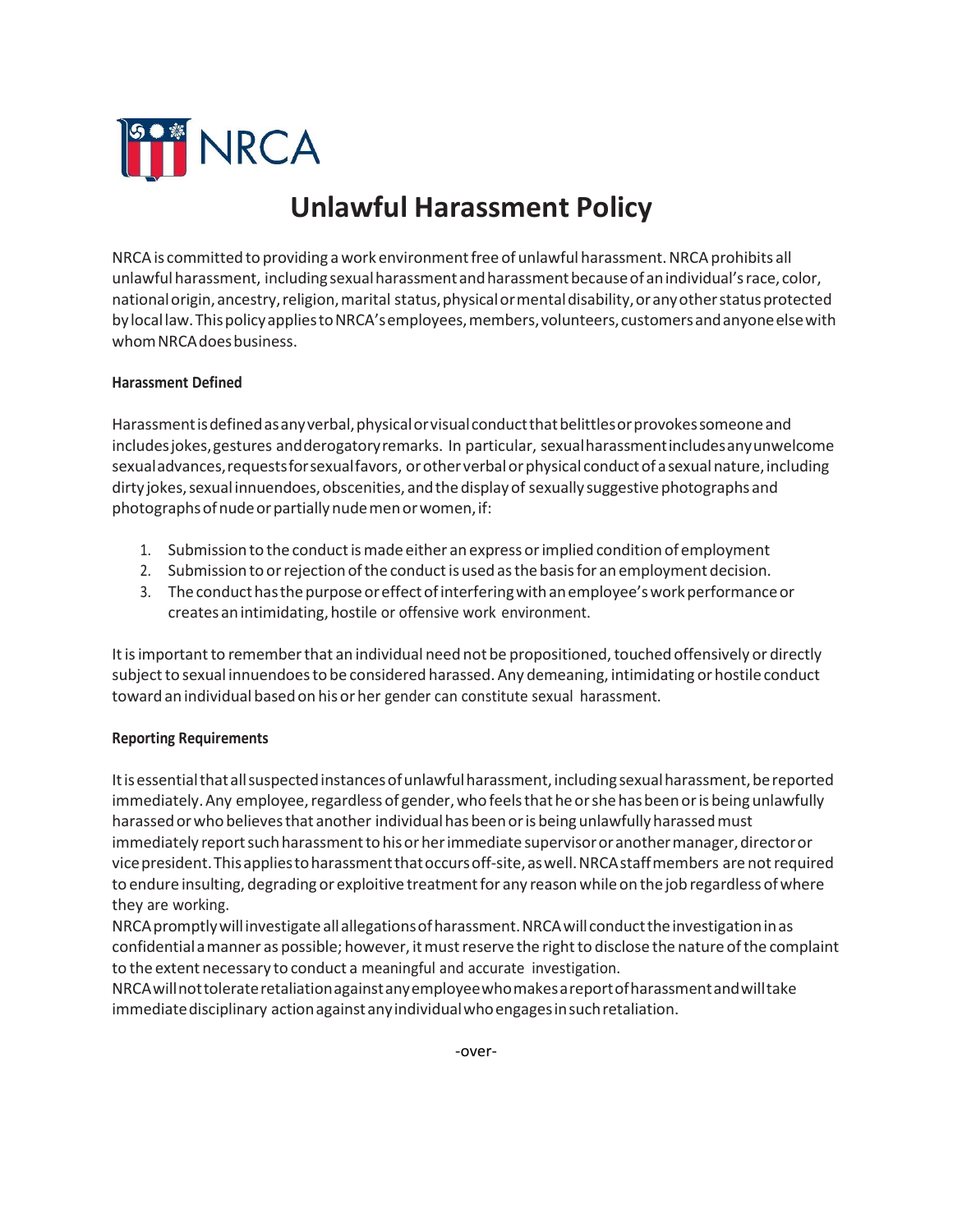

## **Unlawful Harassment Policy**

NRCA is committed to providing a work environment free of unlawful harassment. NRCA prohibits all unlawful harassment, including sexual harassment and harassment because of an individual's race, color, national origin, ancestry, religion, marital status, physical or mental disability, or any other status protected bylocallaw.ThispolicyappliestoNRCA'semployees,members,volunteers,customersandanyoneelsewith whom NRCA does business.

## **Harassment Defined**

Harassment is defined as any verbal, physical or visual conduct that belittles or provokes someone and includesjokes,gestures andderogatoryremarks. In particular, sexualharassmentincludesanyunwelcome sexual advances, requests for sexual favors, or other verbal or physical conduct of a sexual nature, including dirty jokes, sexual innuendoes, obscenities, and the display of sexually suggestive photographs and photographsofnudeorpartiallynudemenorwomen,if:

- 1. Submission to the conduct is made either an express or implied condition of employment
- 2. Submission to orrejectionofthe conductisusedasthebasisfor anemployment decision.
- 3. Theconducthasthepurposeoreffectofinterferingwithanemployee'sworkperformanceor creates an intimidating, hostile or offensive work environment.

It is important to remember that an individual need not be propositioned, touched offensively or directly subject to sexual innuendoes to be considered harassed. Any demeaning, intimidating or hostile conduct toward anindividual basedon hisorher gender can constitute sexual harassment.

## **Reporting Requirements**

Itisessentialthatallsuspectedinstancesofunlawfulharassment,includingsexualharassment,bereported immediately. Any employee, regardless of gender, who feels that he or she has been or is being unlawfully harassed or who believes that another individual has been or is being unlawfully harassed must immediately report such harassment to his or her immediate supervisor or another manager, director or vice president. This applies to harassment that occurs off-site, as well. NRCA staff members are not required to endure insulting, degrading or exploitive treatment for any reason while on the job regardless of where they are working.

NRCApromptlywillinvestigateallallegationsofharassment.NRCAwill conducttheinvestigationinas confidential amanner as possible; however, it must reserve the right to disclose the nature of the complaint to the extent necessary to conduct a meaningful and accurate investigation.

NRCAwillnottolerateretaliationagainstanyemployeewhomakesareportofharassmentandwilltake immediatedisciplinary actionagainstanyindividualwhoengagesinsuchretaliation.